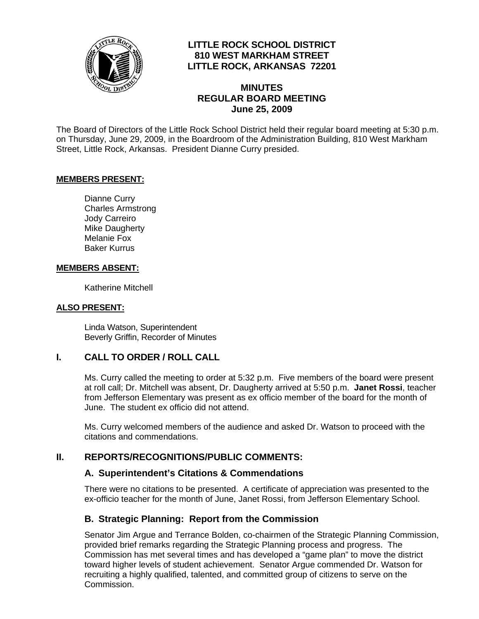

### **LITTLE ROCK SCHOOL DISTRICT 810 WEST MARKHAM STREET LITTLE ROCK, ARKANSAS 72201**

### **MINUTES REGULAR BOARD MEETING June 25, 2009**

The Board of Directors of the Little Rock School District held their regular board meeting at 5:30 p.m. on Thursday, June 29, 2009, in the Boardroom of the Administration Building, 810 West Markham Street, Little Rock, Arkansas. President Dianne Curry presided.

#### **MEMBERS PRESENT:**

Dianne Curry Charles Armstrong Jody Carreiro Mike Daugherty Melanie Fox Baker Kurrus

#### **MEMBERS ABSENT:**

Katherine Mitchell

#### **ALSO PRESENT:**

 Linda Watson, Superintendent Beverly Griffin, Recorder of Minutes

#### **I. CALL TO ORDER / ROLL CALL**

Ms. Curry called the meeting to order at 5:32 p.m. Five members of the board were present at roll call; Dr. Mitchell was absent, Dr. Daugherty arrived at 5:50 p.m. **Janet Rossi**, teacher from Jefferson Elementary was present as ex officio member of the board for the month of June. The student ex officio did not attend.

Ms. Curry welcomed members of the audience and asked Dr. Watson to proceed with the citations and commendations.

### **II. REPORTS/RECOGNITIONS/PUBLIC COMMENTS:**

#### **A. Superintendent's Citations & Commendations**

There were no citations to be presented. A certificate of appreciation was presented to the ex-officio teacher for the month of June, Janet Rossi, from Jefferson Elementary School.

#### **B. Strategic Planning: Report from the Commission**

Senator Jim Argue and Terrance Bolden, co-chairmen of the Strategic Planning Commission, provided brief remarks regarding the Strategic Planning process and progress. The Commission has met several times and has developed a "game plan" to move the district toward higher levels of student achievement. Senator Argue commended Dr. Watson for recruiting a highly qualified, talented, and committed group of citizens to serve on the Commission.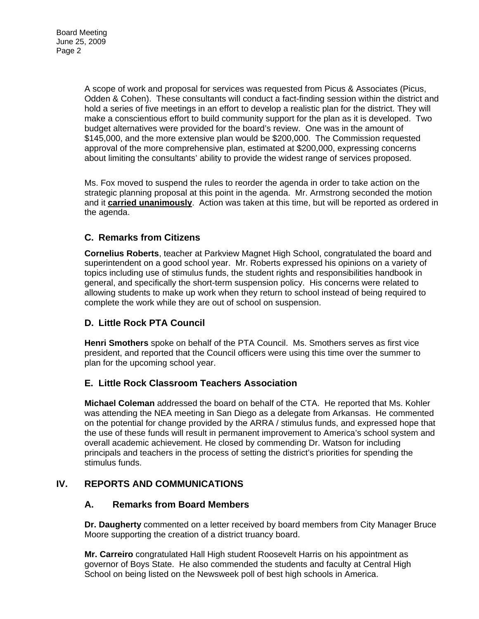A scope of work and proposal for services was requested from Picus & Associates (Picus, Odden & Cohen). These consultants will conduct a fact-finding session within the district and hold a series of five meetings in an effort to develop a realistic plan for the district. They will make a conscientious effort to build community support for the plan as it is developed. Two budget alternatives were provided for the board's review. One was in the amount of \$145,000, and the more extensive plan would be \$200,000. The Commission requested approval of the more comprehensive plan, estimated at \$200,000, expressing concerns about limiting the consultants' ability to provide the widest range of services proposed.

Ms. Fox moved to suspend the rules to reorder the agenda in order to take action on the strategic planning proposal at this point in the agenda. Mr. Armstrong seconded the motion and it **carried unanimously**. Action was taken at this time, but will be reported as ordered in the agenda.

# **C. Remarks from Citizens**

**Cornelius Roberts**, teacher at Parkview Magnet High School, congratulated the board and superintendent on a good school year. Mr. Roberts expressed his opinions on a variety of topics including use of stimulus funds, the student rights and responsibilities handbook in general, and specifically the short-term suspension policy. His concerns were related to allowing students to make up work when they return to school instead of being required to complete the work while they are out of school on suspension.

# **D. Little Rock PTA Council**

**Henri Smothers** spoke on behalf of the PTA Council. Ms. Smothers serves as first vice president, and reported that the Council officers were using this time over the summer to plan for the upcoming school year.

# **E. Little Rock Classroom Teachers Association**

**Michael Coleman** addressed the board on behalf of the CTA. He reported that Ms. Kohler was attending the NEA meeting in San Diego as a delegate from Arkansas. He commented on the potential for change provided by the ARRA / stimulus funds, and expressed hope that the use of these funds will result in permanent improvement to America's school system and overall academic achievement. He closed by commending Dr. Watson for including principals and teachers in the process of setting the district's priorities for spending the stimulus funds.

# **IV. REPORTS AND COMMUNICATIONS**

### **A. Remarks from Board Members**

**Dr. Daugherty** commented on a letter received by board members from City Manager Bruce Moore supporting the creation of a district truancy board.

**Mr. Carreiro** congratulated Hall High student Roosevelt Harris on his appointment as governor of Boys State. He also commended the students and faculty at Central High School on being listed on the Newsweek poll of best high schools in America.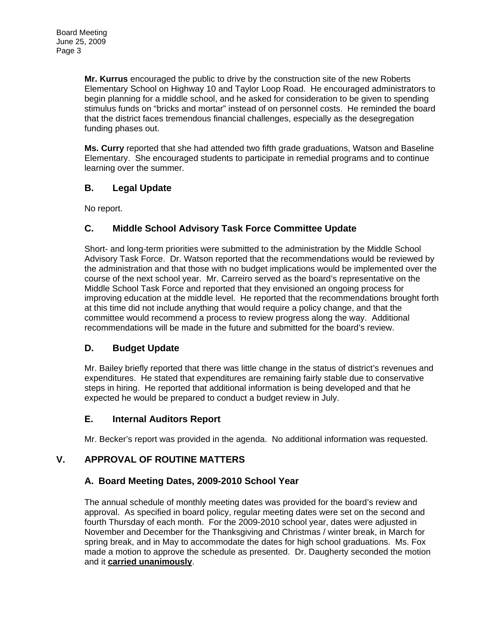**Mr. Kurrus** encouraged the public to drive by the construction site of the new Roberts Elementary School on Highway 10 and Taylor Loop Road. He encouraged administrators to begin planning for a middle school, and he asked for consideration to be given to spending stimulus funds on "bricks and mortar" instead of on personnel costs. He reminded the board that the district faces tremendous financial challenges, especially as the desegregation funding phases out.

**Ms. Curry** reported that she had attended two fifth grade graduations, Watson and Baseline Elementary. She encouraged students to participate in remedial programs and to continue learning over the summer.

# **B. Legal Update**

No report.

# **C. Middle School Advisory Task Force Committee Update**

Short- and long-term priorities were submitted to the administration by the Middle School Advisory Task Force. Dr. Watson reported that the recommendations would be reviewed by the administration and that those with no budget implications would be implemented over the course of the next school year. Mr. Carreiro served as the board's representative on the Middle School Task Force and reported that they envisioned an ongoing process for improving education at the middle level. He reported that the recommendations brought forth at this time did not include anything that would require a policy change, and that the committee would recommend a process to review progress along the way. Additional recommendations will be made in the future and submitted for the board's review.

# **D. Budget Update**

Mr. Bailey briefly reported that there was little change in the status of district's revenues and expenditures. He stated that expenditures are remaining fairly stable due to conservative steps in hiring. He reported that additional information is being developed and that he expected he would be prepared to conduct a budget review in July.

# **E. Internal Auditors Report**

Mr. Becker's report was provided in the agenda. No additional information was requested.

# **V. APPROVAL OF ROUTINE MATTERS**

### **A. Board Meeting Dates, 2009-2010 School Year**

The annual schedule of monthly meeting dates was provided for the board's review and approval. As specified in board policy, regular meeting dates were set on the second and fourth Thursday of each month. For the 2009-2010 school year, dates were adjusted in November and December for the Thanksgiving and Christmas / winter break, in March for spring break, and in May to accommodate the dates for high school graduations. Ms. Fox made a motion to approve the schedule as presented. Dr. Daugherty seconded the motion and it **carried unanimously**.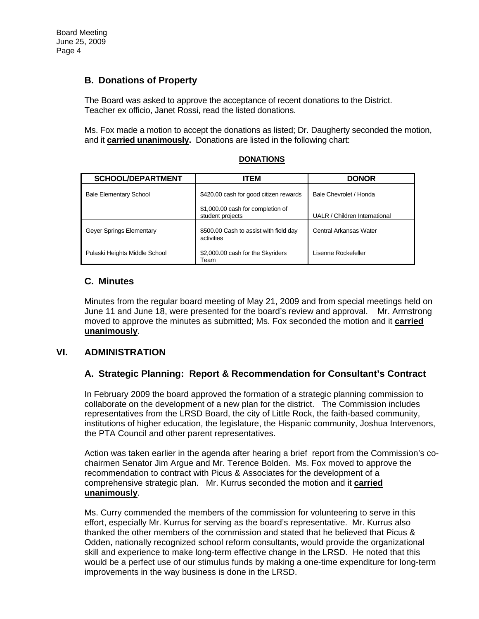## **B. Donations of Property**

The Board was asked to approve the acceptance of recent donations to the District. Teacher ex officio, Janet Rossi, read the listed donations.

Ms. Fox made a motion to accept the donations as listed; Dr. Daugherty seconded the motion, and it **carried unanimously.** Donations are listed in the following chart:

| <b>SCHOOL/DEPARTMENT</b>      | <b>ITEM</b>                                           | <b>DONOR</b>                  |
|-------------------------------|-------------------------------------------------------|-------------------------------|
| <b>Bale Elementary School</b> | \$420.00 cash for good citizen rewards                | Bale Chevrolet / Honda        |
|                               | \$1,000.00 cash for completion of<br>student projects | UALR / Children International |
| Geyer Springs Elementary      | \$500.00 Cash to assist with field day<br>activities  | Central Arkansas Water        |
| Pulaski Heights Middle School | \$2,000.00 cash for the Skyriders<br>Team             | Lisenne Rockefeller           |

#### **DONATIONS**

### **C. Minutes**

Minutes from the regular board meeting of May 21, 2009 and from special meetings held on June 11 and June 18, were presented for the board's review and approval. Mr. Armstrong moved to approve the minutes as submitted; Ms. Fox seconded the motion and it **carried unanimously**.

### **VI. ADMINISTRATION**

### **A. Strategic Planning: Report & Recommendation for Consultant's Contract**

In February 2009 the board approved the formation of a strategic planning commission to collaborate on the development of a new plan for the district. The Commission includes representatives from the LRSD Board, the city of Little Rock, the faith-based community, institutions of higher education, the legislature, the Hispanic community, Joshua Intervenors, the PTA Council and other parent representatives.

Action was taken earlier in the agenda after hearing a brief report from the Commission's cochairmen Senator Jim Argue and Mr. Terence Bolden. Ms. Fox moved to approve the recommendation to contract with Picus & Associates for the development of a comprehensive strategic plan. Mr. Kurrus seconded the motion and it **carried unanimously**.

Ms. Curry commended the members of the commission for volunteering to serve in this effort, especially Mr. Kurrus for serving as the board's representative. Mr. Kurrus also thanked the other members of the commission and stated that he believed that Picus & Odden, nationally recognized school reform consultants, would provide the organizational skill and experience to make long-term effective change in the LRSD. He noted that this would be a perfect use of our stimulus funds by making a one-time expenditure for long-term improvements in the way business is done in the LRSD.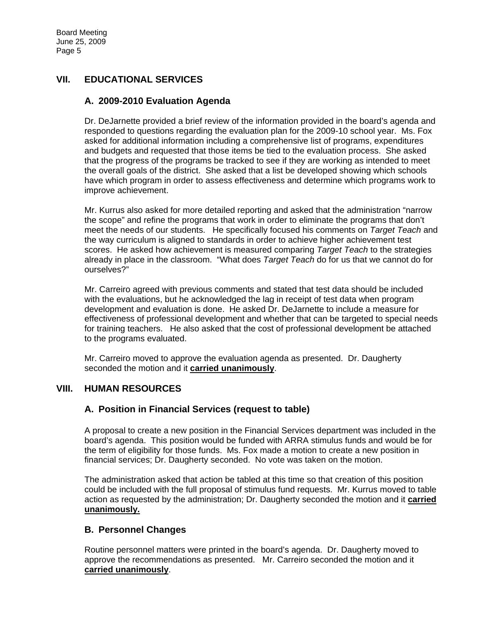# **VII. EDUCATIONAL SERVICES**

## **A. 2009-2010 Evaluation Agenda**

Dr. DeJarnette provided a brief review of the information provided in the board's agenda and responded to questions regarding the evaluation plan for the 2009-10 school year. Ms. Fox asked for additional information including a comprehensive list of programs, expenditures and budgets and requested that those items be tied to the evaluation process. She asked that the progress of the programs be tracked to see if they are working as intended to meet the overall goals of the district. She asked that a list be developed showing which schools have which program in order to assess effectiveness and determine which programs work to improve achievement.

Mr. Kurrus also asked for more detailed reporting and asked that the administration "narrow the scope" and refine the programs that work in order to eliminate the programs that don't meet the needs of our students. He specifically focused his comments on *Target Teach* and the way curriculum is aligned to standards in order to achieve higher achievement test scores. He asked how achievement is measured comparing *Target Teach* to the strategies already in place in the classroom. "What does *Target Teach* do for us that we cannot do for ourselves?"

Mr. Carreiro agreed with previous comments and stated that test data should be included with the evaluations, but he acknowledged the lag in receipt of test data when program development and evaluation is done. He asked Dr. DeJarnette to include a measure for effectiveness of professional development and whether that can be targeted to special needs for training teachers. He also asked that the cost of professional development be attached to the programs evaluated.

Mr. Carreiro moved to approve the evaluation agenda as presented. Dr. Daugherty seconded the motion and it **carried unanimously**.

### **VIII. HUMAN RESOURCES**

# **A. Position in Financial Services (request to table)**

A proposal to create a new position in the Financial Services department was included in the board's agenda. This position would be funded with ARRA stimulus funds and would be for the term of eligibility for those funds. Ms. Fox made a motion to create a new position in financial services; Dr. Daugherty seconded. No vote was taken on the motion.

The administration asked that action be tabled at this time so that creation of this position could be included with the full proposal of stimulus fund requests. Mr. Kurrus moved to table action as requested by the administration; Dr. Daugherty seconded the motion and it **carried unanimously.** 

### **B. Personnel Changes**

Routine personnel matters were printed in the board's agenda. Dr. Daugherty moved to approve the recommendations as presented. Mr. Carreiro seconded the motion and it **carried unanimously**.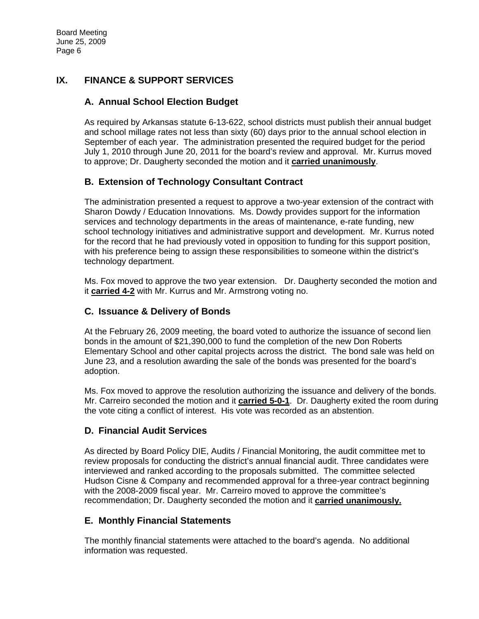# **IX. FINANCE & SUPPORT SERVICES**

# **A. Annual School Election Budget**

As required by Arkansas statute 6-13-622, school districts must publish their annual budget and school millage rates not less than sixty (60) days prior to the annual school election in September of each year. The administration presented the required budget for the period July 1, 2010 through June 20, 2011 for the board's review and approval. Mr. Kurrus moved to approve; Dr. Daugherty seconded the motion and it **carried unanimously**.

## **B. Extension of Technology Consultant Contract**

The administration presented a request to approve a two-year extension of the contract with Sharon Dowdy / Education Innovations. Ms. Dowdy provides support for the information services and technology departments in the areas of maintenance, e-rate funding, new school technology initiatives and administrative support and development. Mr. Kurrus noted for the record that he had previously voted in opposition to funding for this support position, with his preference being to assign these responsibilities to someone within the district's technology department.

Ms. Fox moved to approve the two year extension. Dr. Daugherty seconded the motion and it **carried 4-2** with Mr. Kurrus and Mr. Armstrong voting no.

## **C. Issuance & Delivery of Bonds**

At the February 26, 2009 meeting, the board voted to authorize the issuance of second lien bonds in the amount of \$21,390,000 to fund the completion of the new Don Roberts Elementary School and other capital projects across the district. The bond sale was held on June 23, and a resolution awarding the sale of the bonds was presented for the board's adoption.

Ms. Fox moved to approve the resolution authorizing the issuance and delivery of the bonds. Mr. Carreiro seconded the motion and it **carried 5-0-1**. Dr. Daugherty exited the room during the vote citing a conflict of interest. His vote was recorded as an abstention.

# **D. Financial Audit Services**

As directed by Board Policy DIE, Audits / Financial Monitoring, the audit committee met to review proposals for conducting the district's annual financial audit. Three candidates were interviewed and ranked according to the proposals submitted. The committee selected Hudson Cisne & Company and recommended approval for a three-year contract beginning with the 2008-2009 fiscal year. Mr. Carreiro moved to approve the committee's recommendation; Dr. Daugherty seconded the motion and it **carried unanimously.**

### **E. Monthly Financial Statements**

The monthly financial statements were attached to the board's agenda. No additional information was requested.